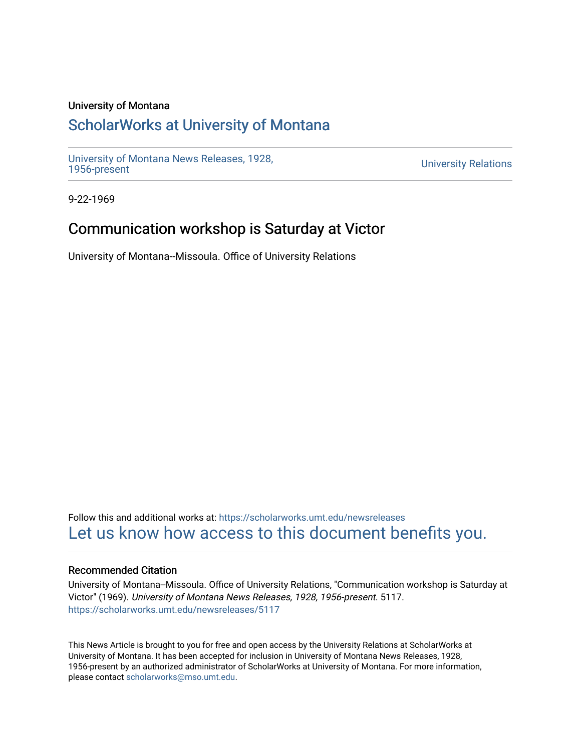### University of Montana

# [ScholarWorks at University of Montana](https://scholarworks.umt.edu/)

[University of Montana News Releases, 1928,](https://scholarworks.umt.edu/newsreleases) 

**University Relations** 

9-22-1969

## Communication workshop is Saturday at Victor

University of Montana--Missoula. Office of University Relations

Follow this and additional works at: [https://scholarworks.umt.edu/newsreleases](https://scholarworks.umt.edu/newsreleases?utm_source=scholarworks.umt.edu%2Fnewsreleases%2F5117&utm_medium=PDF&utm_campaign=PDFCoverPages) [Let us know how access to this document benefits you.](https://goo.gl/forms/s2rGfXOLzz71qgsB2) 

### Recommended Citation

University of Montana--Missoula. Office of University Relations, "Communication workshop is Saturday at Victor" (1969). University of Montana News Releases, 1928, 1956-present. 5117. [https://scholarworks.umt.edu/newsreleases/5117](https://scholarworks.umt.edu/newsreleases/5117?utm_source=scholarworks.umt.edu%2Fnewsreleases%2F5117&utm_medium=PDF&utm_campaign=PDFCoverPages) 

This News Article is brought to you for free and open access by the University Relations at ScholarWorks at University of Montana. It has been accepted for inclusion in University of Montana News Releases, 1928, 1956-present by an authorized administrator of ScholarWorks at University of Montana. For more information, please contact [scholarworks@mso.umt.edu.](mailto:scholarworks@mso.umt.edu)